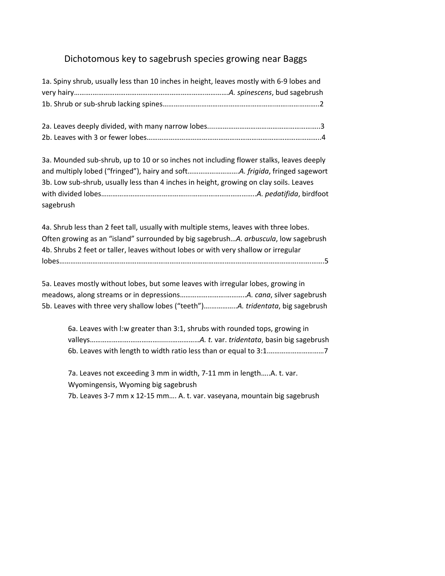## Dichotomous key to sagebrush species growing near Baggs

| 1a. Spiny shrub, usually less than 10 inches in height, leaves mostly with 6-9 lobes and                                                                                                                                                                             |
|----------------------------------------------------------------------------------------------------------------------------------------------------------------------------------------------------------------------------------------------------------------------|
|                                                                                                                                                                                                                                                                      |
|                                                                                                                                                                                                                                                                      |
|                                                                                                                                                                                                                                                                      |
|                                                                                                                                                                                                                                                                      |
| 3a. Mounded sub-shrub, up to 10 or so inches not including flower stalks, leaves deeply<br>3b. Low sub-shrub, usually less than 4 inches in height, growing on clay soils. Leaves<br>sagebrush                                                                       |
| 4a. Shrub less than 2 feet tall, usually with multiple stems, leaves with three lobes.<br>Often growing as an "island" surrounded by big sagebrushA. arbuscula, low sagebrush<br>4b. Shrubs 2 feet or taller, leaves without lobes or with very shallow or irregular |
| 5a. Leaves mostly without lobes, but some leaves with irregular lobes, growing in                                                                                                                                                                                    |

6a. Leaves with l:w greater than 3:1, shrubs with rounded tops, growing in valleys………………….…………….......……………*A. t.* var. *tridentata*, basin big sagebrush 6b. Leaves with length to width ratio less than or equal to 3:1.…………………………7

7a. Leaves not exceeding 3 mm in width, 7‐11 mm in length…..A. t. var. Wyomingensis, Wyoming big sagebrush 7b. Leaves 3‐7 mm x 12‐15 mm…. A. t. var. vaseyana, mountain big sagebrush